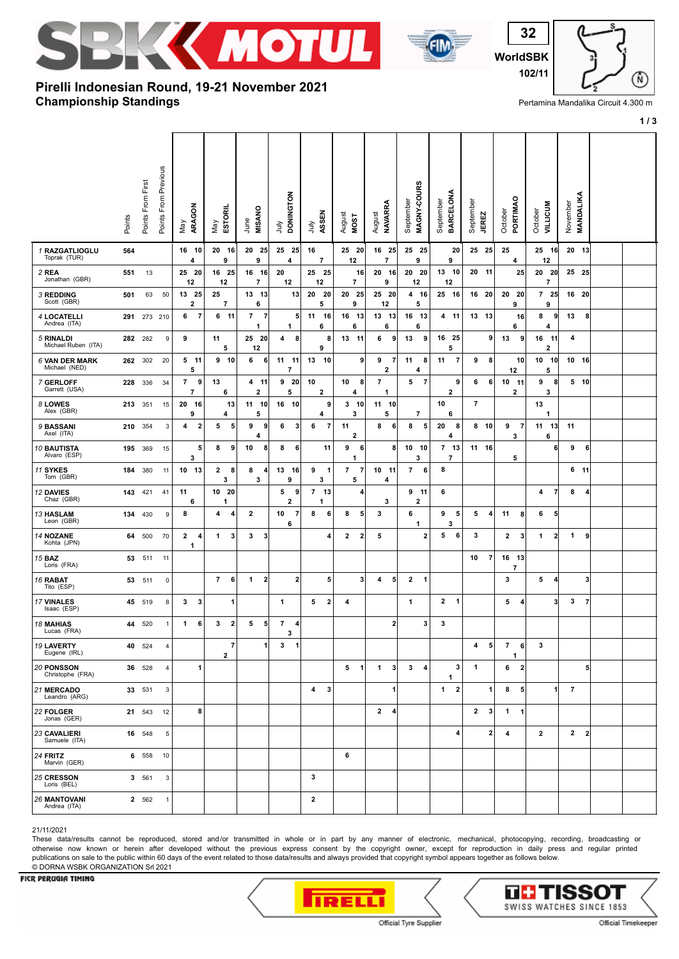



**WorldSBK 102/11**

# **Championship Standings Pirelli Indonesian Round, 19-21 November 2021**

Pertamina Mandalika Circuit 4.300 m

**1 / 3**

Ŵ,

|                                      | Points  | Points From First | Points From Previous | ARAGON<br>Vay                      | ESTORIL<br>Vay                            | <b>MISANO</b><br>June                 | <b>DONINGTON</b><br>ήn            | ASSEN<br>λη                   | August<br><b>MOST</b>          | <b>NAVARRA</b><br>August                       | MAGNY-COURS<br>September | BARCELONA<br>September       | September<br><b>JEREZ</b> | PORTIMAO<br>October            | <b>VILLICUM</b><br>October | November<br>MANDALIKA          |  |
|--------------------------------------|---------|-------------------|----------------------|------------------------------------|-------------------------------------------|---------------------------------------|-----------------------------------|-------------------------------|--------------------------------|------------------------------------------------|--------------------------|------------------------------|---------------------------|--------------------------------|----------------------------|--------------------------------|--|
| 1 RAZGATLIOGLU<br>Toprak (TUR)       | 564     |                   |                      | 16 10<br>4                         | 20 16<br>9                                | 20 25<br>9                            | 25 25<br>4                        | 16<br>7                       | 25 20<br>12                    | 16<br>- 25<br>7                                | 25 25<br>9               | 20<br>9                      | 25 25                     | 25<br>4                        | 25 16<br>12                | 20 13                          |  |
| 2 REA<br>Jonathan (GBR)              | 551     | 13                |                      | 25 20<br>12                        | 16 25<br>12                               | 16 16<br>$\overline{\phantom{a}}$     | 20<br>12                          | 25 25<br>12                   | 16<br>$\overline{\phantom{a}}$ | 20<br>- 16<br>9                                | 20 20<br>12              | 13 10<br>12                  | 20 11                     | 25                             | 20 20<br>$\overline{7}$    | 25 25                          |  |
| <b>3 REDDING</b><br>Scott (GBR)      | 501     | 63                | 50                   | 13 25<br>2                         | 25<br>$\overline{\mathbf{r}}$             | 13 13<br>6                            | 13                                | 20<br>20<br>5                 | 20<br>25<br>9                  | 25<br>- 20<br>12                               | 4 16<br>5                | 25 16                        | 16 20                     | 20 20<br>9                     | 725<br>9                   | 16 20                          |  |
| <b>4 LOCATELLI</b><br>Andrea (ITA)   | 291     |                   | 273 210              | $\overline{7}$<br>6                | 6<br>$-11$                                | $\overline{7}$<br>$\overline{7}$<br>1 | 5<br>1                            | 11<br>16<br>6                 | 16 13<br>6                     | 13 13<br>6                                     | 16 13<br>6               | 4<br>$-11$                   | 13 13                     | 16<br>6                        | 8<br>9<br>4                | 13<br>8                        |  |
| 5 RINALDI<br>Michael Ruben (ITA)     | 282 282 |                   | 9                    | 9                                  | 11<br>5                                   | 25 20<br>12                           | 4<br>8                            | 8<br>9                        | 13 11                          | 6<br>9                                         | 9<br>13                  | 16 25<br>5                   | 9                         | 13<br>9                        | 16<br>11<br>2              | 4                              |  |
| 6 VAN DER MARK<br>Michael (NED)      | 262 302 |                   | 20                   | 5 11<br>5                          | $9 - 10$                                  | 6<br>6                                | 11 11<br>7                        | 13<br>10                      | 9                              | 9<br>$\overline{7}$<br>$\overline{\mathbf{2}}$ | 11<br>8<br>4             | 11<br>-7                     | 9<br>8                    | 10<br>12                       | 10 10<br>5                 | 10 16                          |  |
| 7 GERLOFF<br>Garrett (USA)           | 228 336 |                   | 34                   | 9<br>7<br>$\overline{\phantom{a}}$ | 13<br>6                                   | 4 11<br>$\mathbf{2}$                  | 9<br>-20<br>5                     | 10<br>$\overline{\mathbf{2}}$ | 10<br>8<br>4                   | $\overline{7}$<br>1                            | $\overline{7}$<br>5      | 9<br>$\overline{\mathbf{2}}$ | 6<br>6                    | $10$ 11<br>2                   | 9<br>8<br>3                | $5$ 10                         |  |
| 8 LOWES<br>Alex (GBR)                | 213     | 351               | 15                   | 20 16<br>9                         | 13<br>4                                   | 11 10<br>5                            | 16 10                             | 9<br>4                        | $3 - 10$<br>3                  | 11 10<br>5                                     | $\overline{7}$           | 10<br>6                      | $\overline{7}$            |                                | 13<br>1                    |                                |  |
| 9 BASSANI<br>Axel (ITA)              | 210     | 354               | 3                    | $\mathbf 2$<br>4                   | 5<br>5                                    | 9<br>9<br>4                           | 6<br>3                            | $\overline{7}$<br>6           | 11<br>2                        | 8<br>6                                         | 8<br>5                   | 20<br>8<br>4                 | 8 <sub>10</sub>           | 9<br>$\overline{7}$<br>3       | 11<br>13<br>6              | 11                             |  |
| <b>10 BAUTISTA</b><br>Alvaro (ESP)   | 195     | 369               | 15                   | 5<br>3                             | 8<br>9                                    | 10<br>8                               | 8<br>6                            | 11                            | 9<br>6<br>1                    | 8                                              | 10 10<br>3               | 7 13<br>$\overline{7}$       | 11 16                     | 5                              | 6                          | 9<br>6                         |  |
| 11 SYKES<br>Tom (GBR)                | 184     | 380               | 11                   | 10 13                              | 2<br>8<br>3                               | 8<br>4<br>3                           | 13<br>16<br>9                     | 9<br>$\mathbf 1$<br>3         | $\overline{7}$<br>-7<br>5      | 10<br>- 11<br>4                                | $\overline{7}$<br>6      | 8                            |                           |                                |                            | 6 11                           |  |
| 12 DAVIES<br>Chaz (GBR)              | 143     | 421               | 41                   | 11<br>6                            | 10 20<br>1                                |                                       | 5<br>9<br>$\overline{\mathbf{2}}$ | $\overline{7}$<br>13<br>1     | 4                              | 3                                              | $9$ 11<br>$\mathbf{2}$   | 6                            |                           |                                | 4<br>$\overline{7}$        | 8<br>4                         |  |
| <b>13 HASLAM</b><br>Leon (GBR)       | 134     | 430               | 9                    | 8                                  | 4<br>4                                    | $\overline{2}$                        | 10<br>$\overline{7}$<br>6         | 8<br>6                        | 8<br>5                         | 3                                              | 6<br>1                   | 9<br>5<br>3                  | 5<br>4                    | 11<br>8                        | 6<br>5                     |                                |  |
| <b>14 NOZANE</b><br>Kohta (JPN)      | 64      | 500               | 70                   | $\mathbf{2}$<br>4<br>1             | 1<br>3                                    | 3<br>3                                |                                   | 4                             | $\mathbf{2}$<br>$\overline{2}$ | 5                                              | 2                        | 5<br>6                       | 3                         | $\overline{2}$<br>3            | $\mathbf{2}$<br>1          | 1<br>9                         |  |
| <b>15 BAZ</b><br>Loris (FRA)         | 53      | 511               | 11                   |                                    |                                           |                                       |                                   |                               |                                |                                                |                          |                              | 10<br>7                   | 16 13<br>7                     |                            |                                |  |
| 16 RABAT<br>Tito (ESP)               | 53      | 511               | $\overline{0}$       |                                    | $\overline{7}$<br>6                       | $\mathbf{1}$<br>$\overline{2}$        | $\mathbf 2$                       | 5                             | 3                              | 5<br>4                                         | 2<br>1                   |                              |                           | 3                              | 5<br>4                     | 3                              |  |
| 17 VINALES<br>Isaac (ESP)            | 45      | 519               | 8                    | $\boldsymbol{\mathsf{3}}$<br>3     | 1                                         |                                       | 1                                 | $\overline{\mathbf{2}}$<br>5  | 4                              |                                                | 1                        | 2<br>$\mathbf{1}$            |                           | 5<br>$\overline{4}$            | 3 <sup>l</sup>             | 3<br>$\overline{7}$            |  |
| <b>18 MAHIAS</b><br>Lucas (FRA)      | 44      | 520               | $\mathbf{1}$         | 1<br>6                             | $\overline{\mathbf{2}}$<br>3              | 5<br>5                                | $\overline{7}$<br>4<br>3          |                               |                                | $\mathbf{2}$                                   | 3                        | 3                            |                           |                                |                            |                                |  |
| 19 LAVERTY<br>Eugene (IRL)           |         | 40 524            | $\overline{4}$       |                                    | $\overline{\mathbf{r}}$<br>$\overline{2}$ | 1                                     | 3<br>$\mathbf{1}$                 |                               |                                |                                                |                          |                              | 5<br>4                    | $\overline{7}$<br>6<br>1       | 3                          |                                |  |
| 20 PONSSON<br>Christophe (FRA)       |         | 36 528            | $\overline{4}$       | 1                                  |                                           |                                       |                                   |                               | $\overline{1}$<br>5            | $\mathbf{3}$<br>1                              | $\mathbf{3}$<br>4        | 3<br>1                       | 1                         | 6<br>$\overline{2}$            |                            | 5                              |  |
| 21 MERCADO<br>Leandro (ARG)          |         | 33 531            | 3                    |                                    |                                           |                                       |                                   | 3<br>$\overline{4}$           |                                | 1                                              |                          | $\overline{\mathbf{2}}$<br>1 | 1                         | 8<br>5                         | $\mathbf{1}$               | $\overline{7}$                 |  |
| 22 FOLGER<br>Jonas (GER)             |         | 21 543            | 12                   | 8                                  |                                           |                                       |                                   |                               |                                | $\mathbf{2}$<br>4                              |                          |                              | 3<br>$\mathbf{2}$         | $\mathbf{1}$<br>$\blacksquare$ |                            |                                |  |
| <b>23 CAVALIERI</b><br>Samuele (ITA) |         | 16 548            | 5                    |                                    |                                           |                                       |                                   |                               |                                |                                                |                          | 4                            | $\overline{\mathbf{2}}$   | 4                              | $\overline{2}$             | $\mathbf{2}$<br>$\overline{2}$ |  |
| 24 FRITZ<br>Marvin (GER)             |         | 6 558             | 10                   |                                    |                                           |                                       |                                   |                               | 6                              |                                                |                          |                              |                           |                                |                            |                                |  |
| 25 CRESSON<br>Loris (BEL)            |         | 3 561             | 3                    |                                    |                                           |                                       |                                   | 3                             |                                |                                                |                          |                              |                           |                                |                            |                                |  |
| <b>26 MANTOVANI</b><br>Andrea (ITA)  |         | 2 562             | $\mathbf{1}$         |                                    |                                           |                                       |                                   | $\mathbf{2}$                  |                                |                                                |                          |                              |                           |                                |                            |                                |  |

#### 21/11/2021

These data/results cannot be reproduced, stored and/or transmitted in whole or in part by any manner of electronic, mechanical, photocopying, recording, broadcasting or otherwise now known or herein after developed without the previous express consent by the copyright owner, except for reproduction in daily press and regular printed publications on sale to the public within 60 days of the event related to those data/results and always provided that copyright symbol appears together as follows below. © DORNA WSBK ORGANIZATION Srl 2021

### FICR PERUGIA TIMING



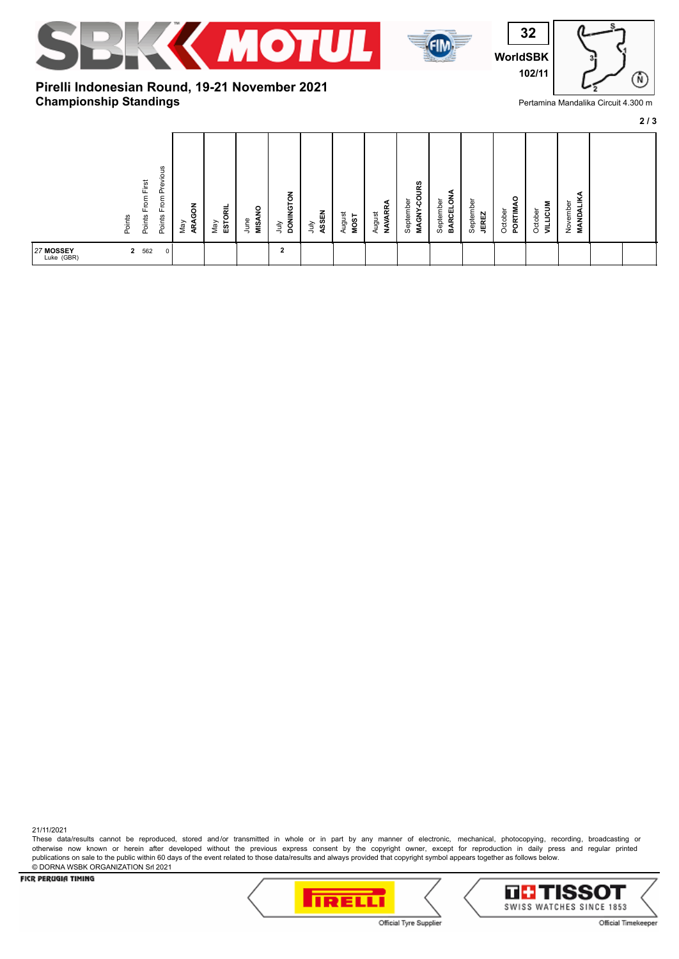





# **Championship Standings Pirelli Indonesian Round, 19-21 November 2021**

Pertamina Mandalika Circuit 4.300 m

**2 / 3**

| snoi<br>ಕ<br>O<br>出<br>č<br>From I<br>From<br>Points<br>Points<br>Points | õ<br>ESTORIL<br>ARA<br>Nay<br>VeW | <b>MISANO</b><br>June | <b>DONINGTON</b><br>ASSEN<br>ήuι<br>ήuι | August<br><b>MOST</b> | <b>NAVARR</b><br>August | <b>COURS</b><br>ᇰ<br>Septembe<br><b>MAGNY</b> | ⋖<br><b>BARCELON</b><br>September | Septembe<br><b>JEREZ</b> | ۰<br>PORTIMA<br>October | <b>ALLICUM</b><br>October | ◀<br>¥<br>November<br><b>NOM</b><br>$\overline{\mathbf{z}}$ |  |
|--------------------------------------------------------------------------|-----------------------------------|-----------------------|-----------------------------------------|-----------------------|-------------------------|-----------------------------------------------|-----------------------------------|--------------------------|-------------------------|---------------------------|-------------------------------------------------------------|--|
| 2 562<br>$27$ MOSSEY<br>Luke (GBR)<br>$\mathbf 0$                        |                                   |                       | ◠<br>∠                                  |                       |                         |                                               |                                   |                          |                         |                           |                                                             |  |

FICR PERUGIA TIMING

© DORNA WSBK ORGANIZATION Srl 2021

21/11/2021



These data/results cannot be reproduced, stored and/or transmitted in whole or in part by any manner of electronic, mechanical, photocopying, recording, broadcasting or otherwise now known or herein after developed without the previous express consent by the copyright owner, except for reproduction in daily press and regular printed

publications on sale to the public within 60 days of the event related to those data/results and always provided that copyright symbol appears together as follows below.



Official Tyre Supplier

Official Timekeeper